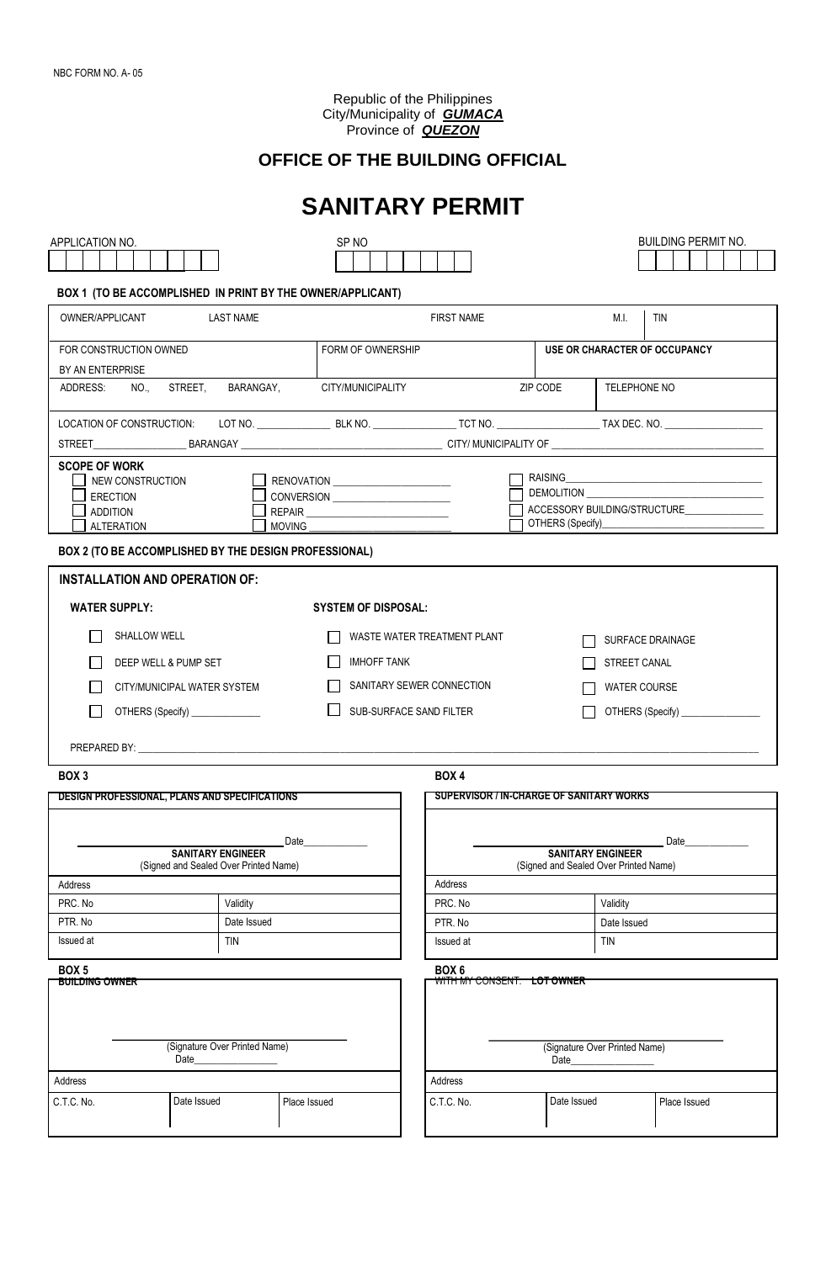Republic of the Philippines City/Municipality of *GUMACA* Province of *QUEZON*

# **OFFICE OF THE BUILDING OFFICIAL**

|                                                                                                                                                             | <b>SANITARY PERMIT</b>                                       |                                                                   |             |                               |                               |  |  |
|-------------------------------------------------------------------------------------------------------------------------------------------------------------|--------------------------------------------------------------|-------------------------------------------------------------------|-------------|-------------------------------|-------------------------------|--|--|
| APPLICATION NO.                                                                                                                                             | SP <sub>NO</sub>                                             |                                                                   |             |                               | <b>BUILDING PERMIT NO.</b>    |  |  |
|                                                                                                                                                             |                                                              |                                                                   |             |                               |                               |  |  |
| BOX 1 (TO BE ACCOMPLISHED IN PRINT BY THE OWNER/APPLICANT)                                                                                                  |                                                              |                                                                   |             |                               |                               |  |  |
| OWNER/APPLICANT<br><b>LAST NAME</b>                                                                                                                         |                                                              | <b>FIRST NAME</b>                                                 |             | M.I.                          | <b>TIN</b>                    |  |  |
| FOR CONSTRUCTION OWNED                                                                                                                                      | FORM OF OWNERSHIP                                            |                                                                   |             |                               | USE OR CHARACTER OF OCCUPANCY |  |  |
| BY AN ENTERPRISE                                                                                                                                            |                                                              |                                                                   |             |                               |                               |  |  |
| STREET.<br>BARANGAY,<br>ADDRESS:<br>NO.,                                                                                                                    | CITY/MUNICIPALITY                                            |                                                                   | ZIP CODE    | TELEPHONE NO                  |                               |  |  |
|                                                                                                                                                             |                                                              |                                                                   |             |                               |                               |  |  |
|                                                                                                                                                             |                                                              |                                                                   |             |                               |                               |  |  |
| <b>SCOPE OF WORK</b><br>NEW CONSTRUCTION<br>RENOVATION ________________________<br><b>ERECTION</b><br><b>ADDITION</b><br><b>ALTERATION</b><br><b>MOVING</b> | DEMOLITION <b>DEMOLITION</b><br>ACCESSORY BUILDING/STRUCTURE |                                                                   |             |                               |                               |  |  |
| BOX 2 (TO BE ACCOMPLISHED BY THE DESIGN PROFESSIONAL)                                                                                                       |                                                              |                                                                   |             |                               |                               |  |  |
| <b>INSTALLATION AND OPERATION OF:</b>                                                                                                                       |                                                              |                                                                   |             |                               |                               |  |  |
| <b>WATER SUPPLY:</b>                                                                                                                                        | <b>SYSTEM OF DISPOSAL:</b>                                   |                                                                   |             |                               |                               |  |  |
| SHALLOW WELL                                                                                                                                                |                                                              | WASTE WATER TREATMENT PLANT                                       |             | SURFACE DRAINAGE              |                               |  |  |
| $\mathbf{r}$<br>DEEP WELL & PUMP SET                                                                                                                        | <b>IMHOFF TANK</b>                                           |                                                                   |             | <b>STREET CANAL</b>           |                               |  |  |
| CITY/MUNICIPAL WATER SYSTEM                                                                                                                                 |                                                              | SANITARY SEWER CONNECTION<br><b>WATER COURSE</b>                  |             |                               |                               |  |  |
| OTHERS (Specify) ______________<br>$\mathsf{L}$                                                                                                             | SUB-SURFACE SAND FILTER                                      |                                                                   |             |                               |                               |  |  |
|                                                                                                                                                             |                                                              |                                                                   |             |                               |                               |  |  |
|                                                                                                                                                             |                                                              |                                                                   |             |                               |                               |  |  |
| BOX 3<br>DESIGN PROFESSIONAL, PLANS AND SPECIFICATIONS                                                                                                      |                                                              | BOX 4<br><b>SUPERVISOR / IN-CHARGE OF SANITARY WORKS</b>          |             |                               |                               |  |  |
|                                                                                                                                                             |                                                              |                                                                   |             |                               |                               |  |  |
| Date                                                                                                                                                        |                                                              |                                                                   |             |                               | Date                          |  |  |
| <b>SANITARY ENGINEER</b><br>(Signed and Sealed Over Printed Name)                                                                                           |                                                              | <b>SANITARY ENGINEER</b><br>(Signed and Sealed Over Printed Name) |             |                               |                               |  |  |
| Address                                                                                                                                                     |                                                              | Address                                                           |             |                               |                               |  |  |
| PRC. No<br>Validity                                                                                                                                         |                                                              | PRC. No                                                           |             | Validity                      |                               |  |  |
| PTR. No<br>Date Issued                                                                                                                                      |                                                              | PTR. No                                                           |             | Date Issued                   |                               |  |  |
| Issued at<br><b>TIN</b>                                                                                                                                     |                                                              | Issued at                                                         |             | <b>TIN</b>                    |                               |  |  |
| BOX <sub>5</sub>                                                                                                                                            |                                                              | BOX 6                                                             |             |                               |                               |  |  |
| <b>BUILDING OWNER</b><br>(Signature Over Printed Name)<br>Date                                                                                              |                                                              | <del>WITH MY CONSENT: LOT OWNER</del>                             | Date        | (Signature Over Printed Name) |                               |  |  |
| Address                                                                                                                                                     |                                                              | Address                                                           |             |                               |                               |  |  |
| Date Issued<br>Place Issued<br>C.T.C. No.                                                                                                                   |                                                              | C.T.C. No.                                                        | Date Issued |                               | Place Issued                  |  |  |